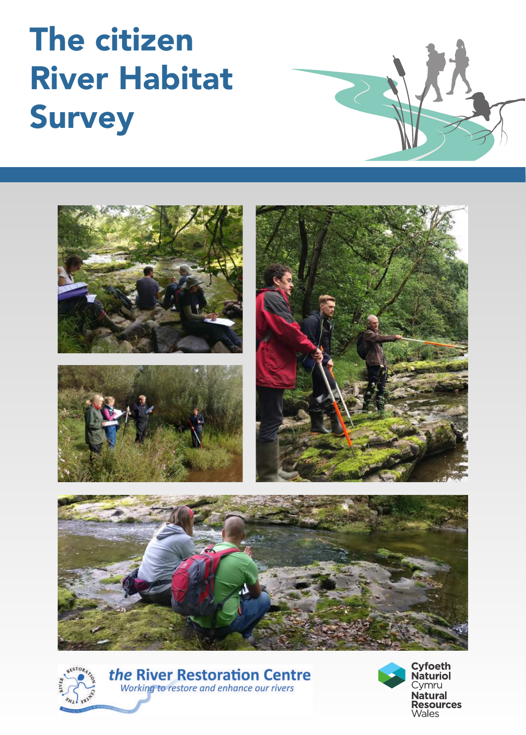# The citizen River Habitat Survey





the River Restoration Centre Working to restore and enhance our rivers

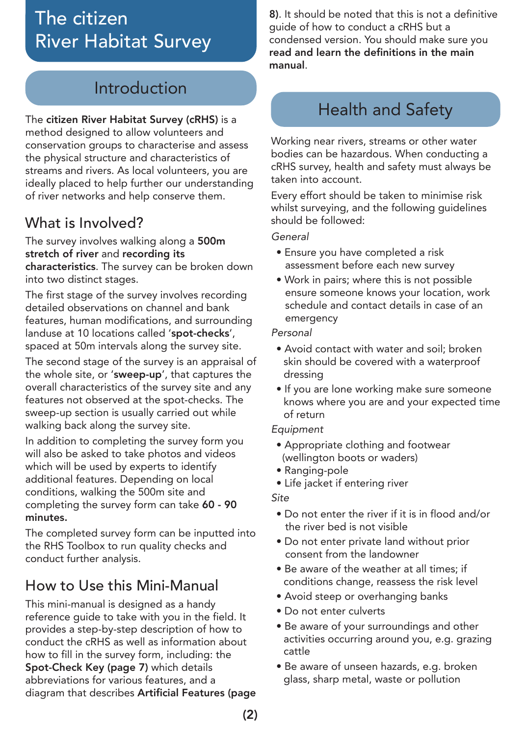## The citizen River Habitat Survey

## Introduction

The citizen River Habitat Survey (cRHS) is a method designed to allow volunteers and conservation groups to characterise and assess the physical structure and characteristics of streams and rivers. As local volunteers, you are ideally placed to help further our understanding of river networks and help conserve them.

#### What is Involved?

The survey involves walking along a 500m stretch of river and recording its characteristics. The survey can be broken down into two distinct stages.

The first stage of the survey involves recording detailed observations on channel and bank features, human modifications, and surrounding landuse at 10 locations called 'spot-checks', spaced at 50m intervals along the survey site.

The second stage of the survey is an appraisal of the whole site, or 'sweep-up', that captures the overall characteristics of the survey site and any features not observed at the spot-checks. The sweep-up section is usually carried out while walking back along the survey site.

In addition to completing the survey form you will also be asked to take photos and videos which will be used by experts to identify additional features. Depending on local conditions, walking the 500m site and completing the survey form can take 60 - 90 minutes.

The completed survey form can be inputted into the RHS Toolbox to run quality checks and conduct further analysis.

#### How to Use this Mini-Manual

This mini-manual is designed as a handy reference guide to take with you in the field. It provides a step-by-step description of how to conduct the cRHS as well as information about how to fill in the survey form, including: the Spot-Check Key (page 7) which details abbreviations for various features, and a diagram that describes Artificial Features (page 8). It should be noted that this is not a definitive guide of how to conduct a cRHS but a condensed version. You should make sure you read and learn the definitions in the main manual.

### Health and Safety

Working near rivers, streams or other water bodies can be hazardous. When conducting a cRHS survey, health and safety must always be taken into account.

Every effort should be taken to minimise risk whilst surveying, and the following guidelines should be followed:

*General*

- Ensure you have completed a risk assessment before each new survey
- Work in pairs; where this is not possible ensure someone knows your location, work schedule and contact details in case of an emergency

#### *Personal*

- Avoid contact with water and soil; broken skin should be covered with a waterproof dressing
- If you are lone working make sure someone knows where you are and your expected time of return

#### *Equipment*

- Appropriate clothing and footwear (wellington boots or waders)
- Ranging-pole
- Life jacket if entering river

*Site*

- Do not enter the river if it is in flood and/or the river bed is not visible
- Do not enter private land without prior consent from the landowner
- Be aware of the weather at all times; if conditions change, reassess the risk level
- Avoid steep or overhanging banks
- Do not enter culverts
- Be aware of your surroundings and other activities occurring around you, e.g. grazing cattle
- Be aware of unseen hazards, e.g. broken glass, sharp metal, waste or pollution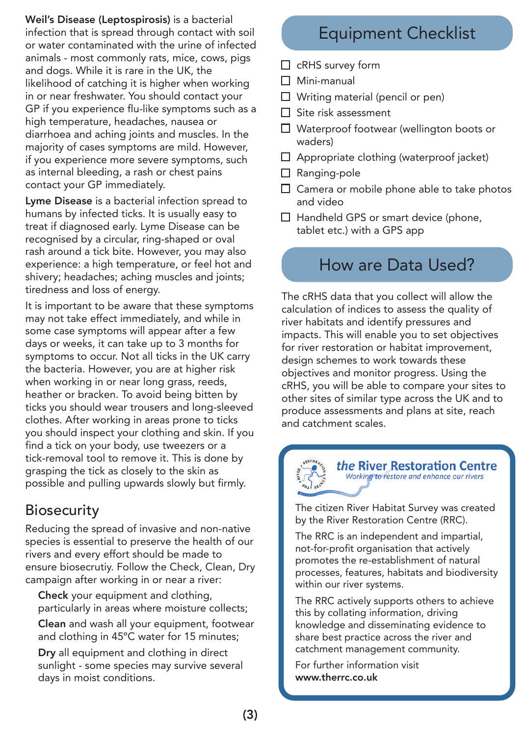Weil's Disease (Leptospirosis) is a bacterial infection that is spread through contact with soil or water contaminated with the urine of infected animals - most commonly rats, mice, cows, pigs and dogs. While it is rare in the UK, the likelihood of catching it is higher when working in or near freshwater. You should contact your GP if you experience flu-like symptoms such as a high temperature, headaches, nausea or diarrhoea and aching joints and muscles. In the majority of cases symptoms are mild. However, if you experience more severe symptoms, such as internal bleeding, a rash or chest pains contact your GP immediately.

Lyme Disease is a bacterial infection spread to humans by infected ticks. It is usually easy to treat if diagnosed early. Lyme Disease can be recognised by a circular, ring-shaped or oval rash around a tick bite. However, you may also experience: a high temperature, or feel hot and shivery; headaches; aching muscles and joints; tiredness and loss of energy.

It is important to be aware that these symptoms may not take effect immediately, and while in some case symptoms will appear after a few days or weeks, it can take up to 3 months for symptoms to occur. Not all ticks in the UK carry the bacteria. However, you are at higher risk when working in or near long grass, reeds, heather or bracken. To avoid being bitten by ticks you should wear trousers and long-sleeved clothes. After working in areas prone to ticks you should inspect your clothing and skin. If you find a tick on your body, use tweezers or a tick-removal tool to remove it. This is done by grasping the tick as closely to the skin as possible and pulling upwards slowly but firmly.

#### **Biosecurity**

Reducing the spread of invasive and non-native species is essential to preserve the health of our rivers and every effort should be made to ensure biosecrutiy. Follow the Check, Clean, Dry campaign after working in or near a river:

Check your equipment and clothing, particularly in areas where moisture collects;

Clean and wash all your equipment, footwear and clothing in 45ºC water for 15 minutes;

Dry all equipment and clothing in direct sunlight - some species may survive several days in moist conditions.

## Equipment Checklist

- $\Box$  cRHS survey form
- $\Box$  Mini-manual
- $\Box$  Writing material (pencil or pen)
- $\Box$  Site risk assessment
- □ Waterproof footwear (wellington boots or waders)
- $\Box$  Appropriate clothing (waterproof jacket)
- □ Ranging-pole
- $\Box$  Camera or mobile phone able to take photos and video
- $\Box$  Handheld GPS or smart device (phone, tablet etc.) with a GPS app

## How are Data Used?

The cRHS data that you collect will allow the calculation of indices to assess the quality of river habitats and identify pressures and impacts. This will enable you to set objectives for river restoration or habitat improvement, design schemes to work towards these objectives and monitor progress. Using the cRHS, you will be able to compare your sites to other sites of similar type across the UK and to produce assessments and plans at site, reach and catchment scales.



The citizen River Habitat Survey was created by the River Restoration Centre (RRC).

The RRC is an independent and impartial, not-for-profit organisation that actively promotes the re-establishment of natural processes, features, habitats and biodiversity within our river systems.

The RRC actively supports others to achieve this by collating information, driving knowledge and disseminating evidence to share best practice across the river and catchment management community.

For further information visit www.therrc.co.uk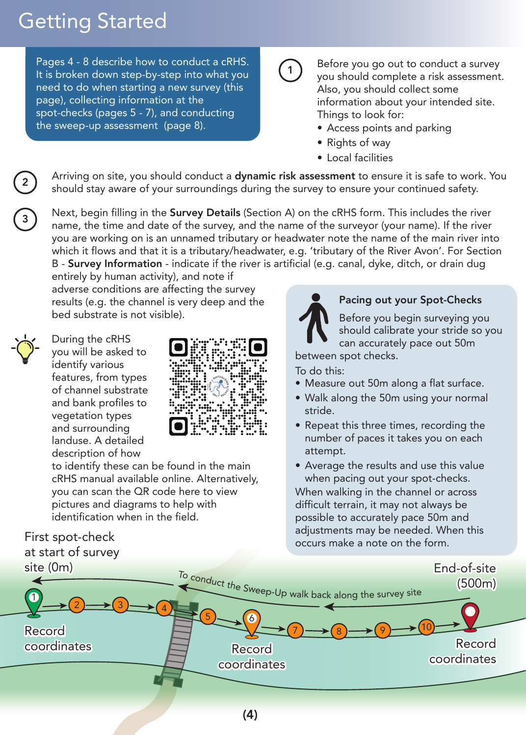## Getting Started

Pages 4 - 8 describe how to conduct a cRHS. It is broken down step-by-step into what you need to do when starting a new survey (this page), collecting information at the spot-checks (pages 5 - 7), and conducting the sweep-up assessment (page 8).

1 Before you go out to conduct a survey you should complete a risk assessment. Also, you should collect some information about your intended site. Things to look for:

- Access points and parking •
- Rights of way
- Local facilities •

Arriving on site, you should conduct a **dynamic risk assessment** to ensure it is safe to work. You should stay aware of your surroundings during the survey to ensure your continued safety.

Next, begin filling in the **Survey Details** (Section A) on the cRHS form. This includes the river name, the time and date of the survey, and the name of the surveyor (your name). If the river you are working on is an unnamed tributary or headwater note the name of the main river into which it flows and that it is a tributary/headwater, e.g. 'tributary of the River Avon'. For Section B - Survey Information - indicate if the river is artificial (e.g. canal, dyke, ditch, or drain dug

entirely by human activity), and note if adverse conditions are affecting the survey results (e.g. the channel is very deep and the bed substrate is not visible).



During the cRHS you will be asked to identify various features, from types of channel substrate and bank profiles to vegetation types and surrounding landuse. A detailed description of how



to identify these can be found in the main cRHS manual available online. Alternatively, you can scan the QR code here to view pictures and diagrams to help with identification when in the field.

## First spot-check at start of survey



#### Pacing out your Spot-Checks

Before you begin surveying you should calibrate your stride so you can accurately pace out 50m

between spot checks.

#### To do this:

- Measure out 50m along a flat surface. •
- Walk along the 50m using your normal stride.
- Repeat this three times, recording the number of paces it takes you on each attempt.
- Average the results and use this value when pacing out your spot-checks.

When walking in the channel or across difficult terrain, it may not always be possible to accurately pace 50m and adjustments may be needed. When this occurs make a note on the form.

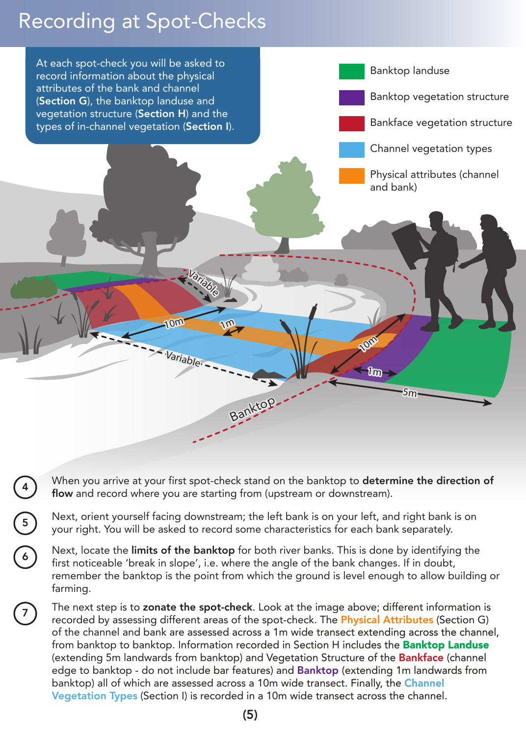## Recording at Spot-Checks

6

7



- When you arrive at your first spot-check stand on the banktop to determine the direction of flow and record where you are starting from (upstream or downstream).
- Next, orient yourself facing downstream; the left bank is on your left, and right bank is on your right. You will be asked to record some characteristics for each bank separately.
- Next, locate the limits of the banktop for both river banks. This is done by identifying the first noticeable 'break in slope', i.e. where the angle of the bank changes. If in doubt, remember the banktop is the point from which the ground is level enough to allow building or farming.
	- The next step is to zonate the spot-check. Look at the image above; different information is recorded by assessing different areas of the spot-check. The **Physical Attributes** (Section G) of the channel and bank are assessed across a 1m wide transect extending across the channel, from banktop to banktop. Information recorded in Section H includes the **Banktop Landuse** (extending 5m landwards from banktop) and Vegetation Structure of the Bankface (channel edge to banktop - do not include bar features) and Banktop (extending 1m landwards from banktop) all of which are assessed across a 10m wide transect. Finally, the Channel Vegetation Types (Section I) is recorded in a 10m wide transect across the channel.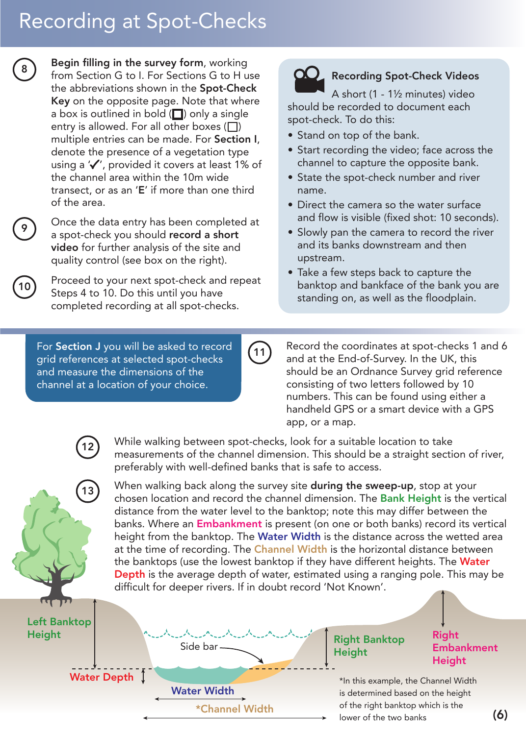## Recording at Spot-Checks

Begin filling in the survey form, working from Section G to I. For Sections G to H use the abbreviations shown in the **Spot-Check** Key on the opposite page. Note that where a box is outlined in bold  $\Box$ ) only a single entry is allowed. For all other boxes  $(\Box)$ multiple entries can be made. For Section I, denote the presence of a vegetation type using a  $'$ , provided it covers at least 1% of the channel area within the 10m wide transect, or as an 'E' if more than one third of the area.

Once the data entry has been completed at a spot-check you should record a short video for further analysis of the site and quality control (see box on the right).

Proceed to your next spot-check and repeat Steps 4 to 10. Do this until you have completed recording at all spot-checks.

For Section J you will be asked to record grid references at selected spot-checks and measure the dimensions of the channel at a location of your choice.

#### **CO** Recording Spot-Check Videos

A short (1 - 1½ minutes) video should be recorded to document each spot-check. To do this:

- Stand on top of the bank.
- Start recording the video; face across the channel to capture the opposite bank.
- State the spot-check number and river name.
- Direct the camera so the water surface and flow is visible (fixed shot: 10 seconds).
- Slowly pan the camera to record the river and its banks downstream and then upstream.
- Take a few steps back to capture the banktop and bankface of the bank you are standing on, as well as the floodplain.

 $\begin{pmatrix} 11 \end{pmatrix}$  Record the coordinates at spot-checks 1 and 6 and at the End-of-Survey. In the UK, this should be an Ordnance Survey grid reference consisting of two letters followed by 10 numbers. This can be found using either a handheld GPS or a smart device with a GPS app, or a map.

While walking between spot-checks, look for a suitable location to take measurements of the channel dimension. This should be a straight section of river, preferably with well-defined banks that is safe to access.

13 When walking back along the survey site during the sweep-up, stop at your chosen location and record the channel dimension. The Bank Height is the vertical distance from the water level to the banktop; note this may differ between the banks. Where an Embankment is present (on one or both banks) record its vertical height from the banktop. The Water Width is the distance across the wetted area at the time of recording. The **Channel Width** is the horizontal distance between the banktops (use the lowest banktop if they have different heights. The Water Depth is the average depth of water, estimated using a ranging pole. This may be difficult for deeper rivers. If in doubt record 'Not Known'.

Left Banktop Height

**Water Depth** 

\*Channel Width Water Width

Side bar

#### Right Banktop **Height**

#### Right **Embankment** Height

\*In this example, the Channel Width is determined based on the height of the right banktop which is the lower of the two banks  $(6)$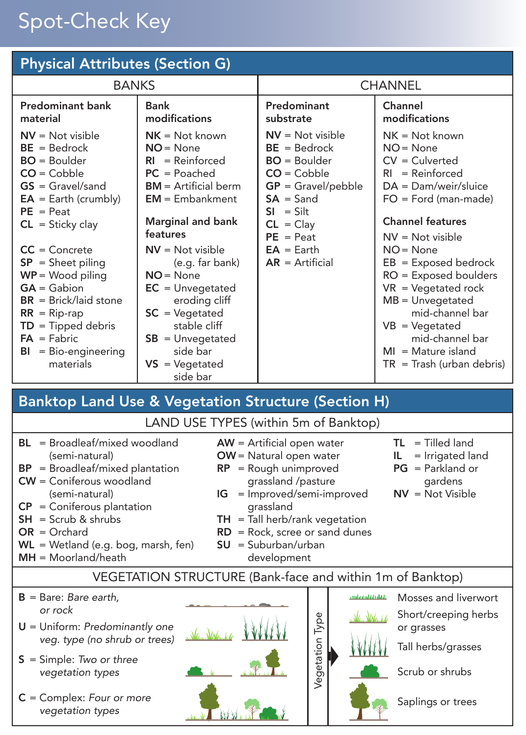## Spot-Check Key

| <b>Physical Attributes (Section G)</b>                                                                                                                                                                                                                                                                                                                                                                                                                                                                                                                                                                                                                                                                                 |                                                                                                                                                                                                                                                                                                                                                                                   |                                                                                                                                                                                                                              |                                                                                                                                                                                                                                                                                                                                                                                                                                                       |
|------------------------------------------------------------------------------------------------------------------------------------------------------------------------------------------------------------------------------------------------------------------------------------------------------------------------------------------------------------------------------------------------------------------------------------------------------------------------------------------------------------------------------------------------------------------------------------------------------------------------------------------------------------------------------------------------------------------------|-----------------------------------------------------------------------------------------------------------------------------------------------------------------------------------------------------------------------------------------------------------------------------------------------------------------------------------------------------------------------------------|------------------------------------------------------------------------------------------------------------------------------------------------------------------------------------------------------------------------------|-------------------------------------------------------------------------------------------------------------------------------------------------------------------------------------------------------------------------------------------------------------------------------------------------------------------------------------------------------------------------------------------------------------------------------------------------------|
| <b>BANKS</b>                                                                                                                                                                                                                                                                                                                                                                                                                                                                                                                                                                                                                                                                                                           |                                                                                                                                                                                                                                                                                                                                                                                   | <b>CHANNEL</b>                                                                                                                                                                                                               |                                                                                                                                                                                                                                                                                                                                                                                                                                                       |
| <b>Predominant bank</b><br>material<br>$NV = Not visible$<br>$BE = Bedrock$<br>$BO = Boulder$<br>$CO = Cobble$<br>$GS = Gravel/sand$<br>$EA = Earth (crumbly)$<br>$PE = Peat$<br>$CL = Sticky clay$<br>$CC =$ Concrete<br>$SP = Sheet piling$<br>$WP = Wood$ piling<br>$GA = Gabion$<br>$BR = Brick/Iaid stone$<br>$RR = Rip-rap$<br>$TD = Tipped$ debris<br>$FA = Fabric$<br>$BI = Bio\text{-}engineering$<br>materials                                                                                                                                                                                                                                                                                               | <b>Bank</b><br>modifications<br>$NK = Not known$<br>$NO = None$<br>$RI = Reinforced$<br>$PC = Poached$<br>$BM = Artificial$<br>$EM = Embankment$<br><b>Marginal and bank</b><br>features<br>$NV = Not visible$<br>(e.g. far bank)<br>$NO = None$<br>$EC = Unvegetated$<br>eroding cliff<br>$SC = Vegetated$<br>stable cliff<br>$SB = Unvegetated$<br>side bar<br>$VS = Vegetated$ | Predominant<br>substrate<br>$NV = Not visible$<br>$BE = Bedrock$<br>$BO = Boulder$<br>$CO = Cobble$<br>$GP =$ Gravel/pebble<br>$SA = Sand$<br>$SI = Silt$<br>$CL = Clay$<br>$PE = Peat$<br>$EA = Earth$<br>$AR = Artificial$ | Channel<br>modifications<br>$NK = Not known$<br>$NO = None$<br>$CV = Clustered$<br>$RI = Reinforced$<br>$DA = Dam/weir/sluice$<br>$FO = Ford (man-made)$<br><b>Channel features</b><br>$NV = Not visible$<br>$NO = None$<br>$EB = Exposed \text{ bedrock}$<br>$RO = Exposed$ boulders<br>$VR = Vegetated rock$<br>$MB = Unvegetated$<br>mid-channel bar<br>$VB = Vegetated$<br>mid-channel bar<br>$MI = Mature$ island<br>$TR =$ Trash (urban debris) |
|                                                                                                                                                                                                                                                                                                                                                                                                                                                                                                                                                                                                                                                                                                                        | side bar                                                                                                                                                                                                                                                                                                                                                                          |                                                                                                                                                                                                                              |                                                                                                                                                                                                                                                                                                                                                                                                                                                       |
| <b>Banktop Land Use &amp; Vegetation Structure (Section H)</b>                                                                                                                                                                                                                                                                                                                                                                                                                                                                                                                                                                                                                                                         |                                                                                                                                                                                                                                                                                                                                                                                   |                                                                                                                                                                                                                              |                                                                                                                                                                                                                                                                                                                                                                                                                                                       |
| LAND USE TYPES (within 5m of Banktop)<br>$BL = Broadleaf/mixed$ woodland<br>$TL = Tilled land$<br>$AW =$ Artificial open water<br>(semi-natural)<br>OW = Natural open water<br>= Irrigated land<br>IL.<br>$PG = Parkland or$<br>$BP = Broadleaf/mixed plantation$<br>$RP = Rough$ unimproved<br>$CW =$ Coniferous woodland<br>grassland /pasture<br>gardens<br>$NV = Not Visible$<br>(semi-natural)<br>= Improved/semi-improved<br>IG<br>$CP =$ Coniferous plantation<br>grassland<br>$SH =$ Scrub & shrubs<br>$TH =$ Tall herb/rank vegetation<br>$OR = Orchard$<br>$RD = Rock$ , scree or sand dunes<br>$WL = Wetland (e.g. bog, mark, fen)$<br><b>SU</b><br>= Suburban/urban<br>$MH = Moorland/heat$<br>development |                                                                                                                                                                                                                                                                                                                                                                                   |                                                                                                                                                                                                                              |                                                                                                                                                                                                                                                                                                                                                                                                                                                       |
| VEGETATION STRUCTURE (Bank-face and within 1m of Banktop)                                                                                                                                                                                                                                                                                                                                                                                                                                                                                                                                                                                                                                                              |                                                                                                                                                                                                                                                                                                                                                                                   |                                                                                                                                                                                                                              |                                                                                                                                                                                                                                                                                                                                                                                                                                                       |
| Mosses and liverwort<br>$B = B$ are: Bare earth,<br>andaradatalati.<br>or rock<br>Short/creeping herbs<br>Vegetation Type<br>Man Walsak <i>h</i><br>$U =$ Uniform: Predominantly one<br>or grasses<br>veg. type (no shrub or trees)<br>Tall herbs/grasses<br>$S =$ Simple: Two or three<br>Scrub or shrubs<br>vegetation types                                                                                                                                                                                                                                                                                                                                                                                         |                                                                                                                                                                                                                                                                                                                                                                                   |                                                                                                                                                                                                                              |                                                                                                                                                                                                                                                                                                                                                                                                                                                       |

C = Complex: *Four or more vegetation types*



Saplings or trees